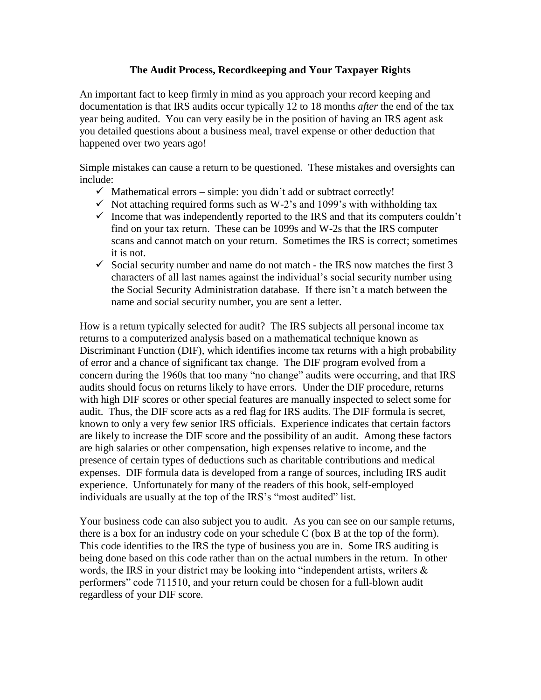# **The Audit Process, Recordkeeping and Your Taxpayer Rights**

An important fact to keep firmly in mind as you approach your record keeping and documentation is that IRS audits occur typically 12 to 18 months *after* the end of the tax year being audited. You can very easily be in the position of having an IRS agent ask you detailed questions about a business meal, travel expense or other deduction that happened over two years ago!

Simple mistakes can cause a return to be questioned. These mistakes and oversights can include:

- $\checkmark$  Mathematical errors simple: you didn't add or subtract correctly!
- $\checkmark$  Not attaching required forms such as W-2's and 1099's with withholding tax
- $\checkmark$  Income that was independently reported to the IRS and that its computers couldn't find on your tax return. These can be 1099s and W-2s that the IRS computer scans and cannot match on your return. Sometimes the IRS is correct; sometimes it is not.
- $\checkmark$  Social security number and name do not match the IRS now matches the first 3 characters of all last names against the individual's social security number using the Social Security Administration database. If there isn't a match between the name and social security number, you are sent a letter.

How is a return typically selected for audit? The IRS subjects all personal income tax returns to a computerized analysis based on a mathematical technique known as Discriminant Function (DIF), which identifies income tax returns with a high probability of error and a chance of significant tax change. The DIF program evolved from a concern during the 1960s that too many "no change" audits were occurring, and that IRS audits should focus on returns likely to have errors. Under the DIF procedure, returns with high DIF scores or other special features are manually inspected to select some for audit. Thus, the DIF score acts as a red flag for IRS audits. The DIF formula is secret, known to only a very few senior IRS officials. Experience indicates that certain factors are likely to increase the DIF score and the possibility of an audit. Among these factors are high salaries or other compensation, high expenses relative to income, and the presence of certain types of deductions such as charitable contributions and medical expenses. DIF formula data is developed from a range of sources, including IRS audit experience. Unfortunately for many of the readers of this book, self-employed individuals are usually at the top of the IRS's "most audited" list.

Your business code can also subject you to audit. As you can see on our sample returns, there is a box for an industry code on your schedule C (box B at the top of the form). This code identifies to the IRS the type of business you are in. Some IRS auditing is being done based on this code rather than on the actual numbers in the return. In other words, the IRS in your district may be looking into "independent artists, writers & performers" code 711510, and your return could be chosen for a full-blown audit regardless of your DIF score.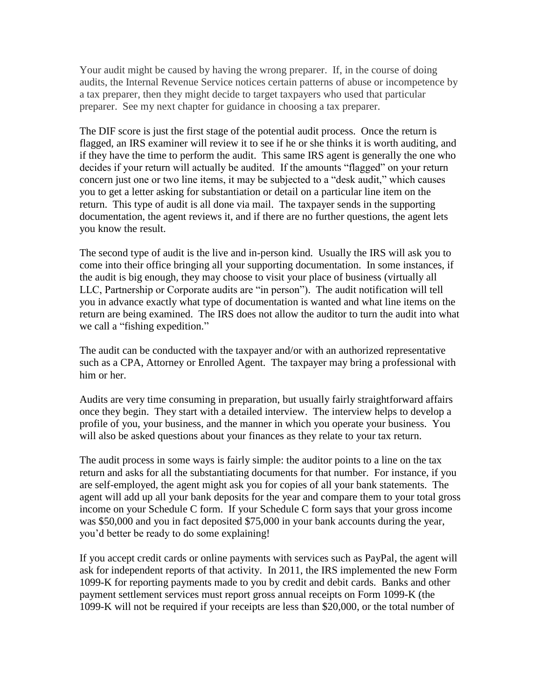Your audit might be caused by having the wrong preparer. If, in the course of doing audits, the Internal Revenue Service notices certain patterns of abuse or incompetence by a tax preparer, then they might decide to target taxpayers who used that particular preparer. See my next chapter for guidance in choosing a tax preparer.

The DIF score is just the first stage of the potential audit process. Once the return is flagged, an IRS examiner will review it to see if he or she thinks it is worth auditing, and if they have the time to perform the audit. This same IRS agent is generally the one who decides if your return will actually be audited. If the amounts "flagged" on your return concern just one or two line items, it may be subjected to a "desk audit," which causes you to get a letter asking for substantiation or detail on a particular line item on the return. This type of audit is all done via mail. The taxpayer sends in the supporting documentation, the agent reviews it, and if there are no further questions, the agent lets you know the result.

The second type of audit is the live and in-person kind. Usually the IRS will ask you to come into their office bringing all your supporting documentation. In some instances, if the audit is big enough, they may choose to visit your place of business (virtually all LLC, Partnership or Corporate audits are "in person"). The audit notification will tell you in advance exactly what type of documentation is wanted and what line items on the return are being examined. The IRS does not allow the auditor to turn the audit into what we call a "fishing expedition."

The audit can be conducted with the taxpayer and/or with an authorized representative such as a CPA, Attorney or Enrolled Agent. The taxpayer may bring a professional with him or her.

Audits are very time consuming in preparation, but usually fairly straightforward affairs once they begin. They start with a detailed interview. The interview helps to develop a profile of you, your business, and the manner in which you operate your business. You will also be asked questions about your finances as they relate to your tax return.

The audit process in some ways is fairly simple: the auditor points to a line on the tax return and asks for all the substantiating documents for that number. For instance, if you are self-employed, the agent might ask you for copies of all your bank statements. The agent will add up all your bank deposits for the year and compare them to your total gross income on your Schedule C form. If your Schedule C form says that your gross income was \$50,000 and you in fact deposited \$75,000 in your bank accounts during the year, you'd better be ready to do some explaining!

If you accept credit cards or online payments with services such as PayPal, the agent will ask for independent reports of that activity. In 2011, the IRS implemented the new Form 1099-K for reporting payments made to you by credit and debit cards. Banks and other payment settlement services must report gross annual receipts on Form 1099-K (the 1099-K will not be required if your receipts are less than \$20,000, or the total number of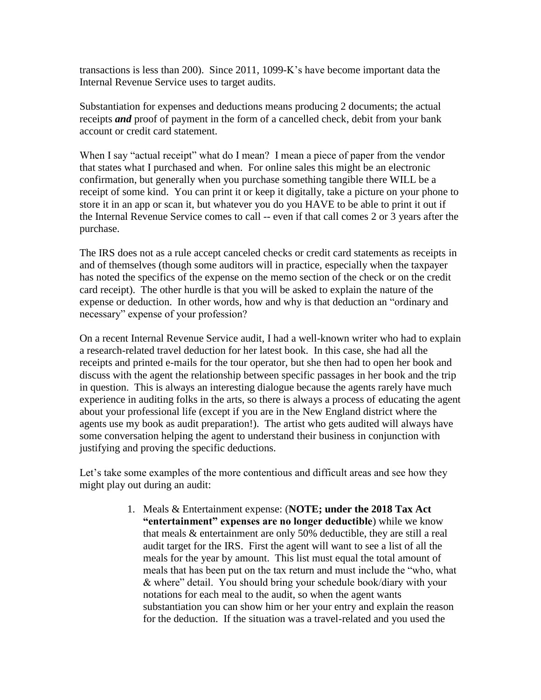transactions is less than 200). Since 2011, 1099-K's have become important data the Internal Revenue Service uses to target audits.

Substantiation for expenses and deductions means producing 2 documents; the actual receipts *and* proof of payment in the form of a cancelled check, debit from your bank account or credit card statement.

When I say "actual receipt" what do I mean? I mean a piece of paper from the vendor that states what I purchased and when. For online sales this might be an electronic confirmation, but generally when you purchase something tangible there WILL be a receipt of some kind. You can print it or keep it digitally, take a picture on your phone to store it in an app or scan it, but whatever you do you HAVE to be able to print it out if the Internal Revenue Service comes to call -- even if that call comes 2 or 3 years after the purchase.

The IRS does not as a rule accept canceled checks or credit card statements as receipts in and of themselves (though some auditors will in practice, especially when the taxpayer has noted the specifics of the expense on the memo section of the check or on the credit card receipt). The other hurdle is that you will be asked to explain the nature of the expense or deduction. In other words, how and why is that deduction an "ordinary and necessary" expense of your profession?

On a recent Internal Revenue Service audit, I had a well-known writer who had to explain a research-related travel deduction for her latest book. In this case, she had all the receipts and printed e-mails for the tour operator, but she then had to open her book and discuss with the agent the relationship between specific passages in her book and the trip in question. This is always an interesting dialogue because the agents rarely have much experience in auditing folks in the arts, so there is always a process of educating the agent about your professional life (except if you are in the New England district where the agents use my book as audit preparation!). The artist who gets audited will always have some conversation helping the agent to understand their business in conjunction with justifying and proving the specific deductions.

Let's take some examples of the more contentious and difficult areas and see how they might play out during an audit:

> 1. Meals & Entertainment expense: (**NOTE; under the 2018 Tax Act "entertainment" expenses are no longer deductible**) while we know that meals & entertainment are only 50% deductible, they are still a real audit target for the IRS. First the agent will want to see a list of all the meals for the year by amount. This list must equal the total amount of meals that has been put on the tax return and must include the "who, what & where" detail. You should bring your schedule book/diary with your notations for each meal to the audit, so when the agent wants substantiation you can show him or her your entry and explain the reason for the deduction. If the situation was a travel-related and you used the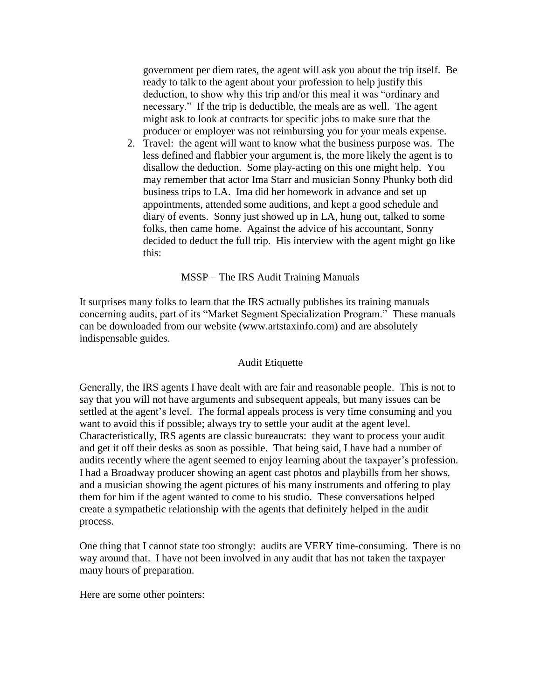government per diem rates, the agent will ask you about the trip itself. Be ready to talk to the agent about your profession to help justify this deduction, to show why this trip and/or this meal it was "ordinary and necessary." If the trip is deductible, the meals are as well. The agent might ask to look at contracts for specific jobs to make sure that the producer or employer was not reimbursing you for your meals expense.

2. Travel: the agent will want to know what the business purpose was. The less defined and flabbier your argument is, the more likely the agent is to disallow the deduction. Some play-acting on this one might help. You may remember that actor Ima Starr and musician Sonny Phunky both did business trips to LA. Ima did her homework in advance and set up appointments, attended some auditions, and kept a good schedule and diary of events. Sonny just showed up in LA, hung out, talked to some folks, then came home. Against the advice of his accountant, Sonny decided to deduct the full trip. His interview with the agent might go like this:

## MSSP – The IRS Audit Training Manuals

It surprises many folks to learn that the IRS actually publishes its training manuals concerning audits, part of its "Market Segment Specialization Program." These manuals can be downloaded from our website (www.artstaxinfo.com) and are absolutely indispensable guides.

### Audit Etiquette

Generally, the IRS agents I have dealt with are fair and reasonable people. This is not to say that you will not have arguments and subsequent appeals, but many issues can be settled at the agent's level. The formal appeals process is very time consuming and you want to avoid this if possible; always try to settle your audit at the agent level. Characteristically, IRS agents are classic bureaucrats: they want to process your audit and get it off their desks as soon as possible. That being said, I have had a number of audits recently where the agent seemed to enjoy learning about the taxpayer's profession. I had a Broadway producer showing an agent cast photos and playbills from her shows, and a musician showing the agent pictures of his many instruments and offering to play them for him if the agent wanted to come to his studio. These conversations helped create a sympathetic relationship with the agents that definitely helped in the audit process.

One thing that I cannot state too strongly: audits are VERY time-consuming. There is no way around that. I have not been involved in any audit that has not taken the taxpayer many hours of preparation.

Here are some other pointers: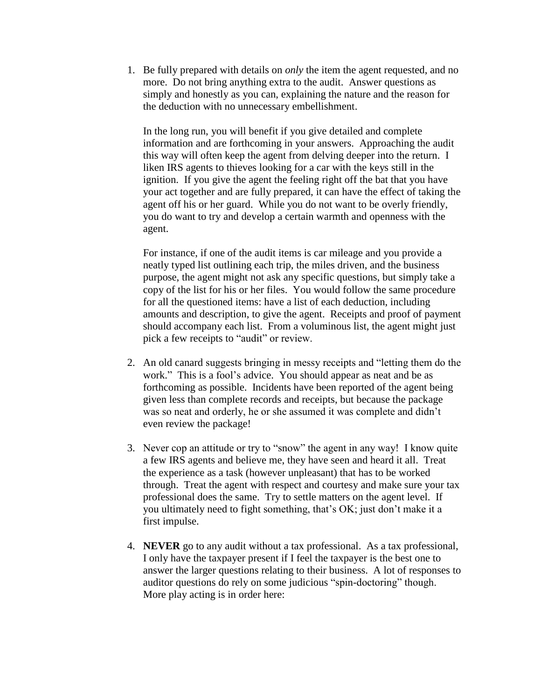1. Be fully prepared with details on *only* the item the agent requested, and no more. Do not bring anything extra to the audit. Answer questions as simply and honestly as you can, explaining the nature and the reason for the deduction with no unnecessary embellishment.

In the long run, you will benefit if you give detailed and complete information and are forthcoming in your answers. Approaching the audit this way will often keep the agent from delving deeper into the return. I liken IRS agents to thieves looking for a car with the keys still in the ignition. If you give the agent the feeling right off the bat that you have your act together and are fully prepared, it can have the effect of taking the agent off his or her guard. While you do not want to be overly friendly, you do want to try and develop a certain warmth and openness with the agent.

For instance, if one of the audit items is car mileage and you provide a neatly typed list outlining each trip, the miles driven, and the business purpose, the agent might not ask any specific questions, but simply take a copy of the list for his or her files. You would follow the same procedure for all the questioned items: have a list of each deduction, including amounts and description, to give the agent. Receipts and proof of payment should accompany each list. From a voluminous list, the agent might just pick a few receipts to "audit" or review.

- 2. An old canard suggests bringing in messy receipts and "letting them do the work." This is a fool's advice. You should appear as neat and be as forthcoming as possible. Incidents have been reported of the agent being given less than complete records and receipts, but because the package was so neat and orderly, he or she assumed it was complete and didn't even review the package!
- 3. Never cop an attitude or try to "snow" the agent in any way! I know quite a few IRS agents and believe me, they have seen and heard it all. Treat the experience as a task (however unpleasant) that has to be worked through. Treat the agent with respect and courtesy and make sure your tax professional does the same. Try to settle matters on the agent level. If you ultimately need to fight something, that's OK; just don't make it a first impulse.
- 4. **NEVER** go to any audit without a tax professional. As a tax professional, I only have the taxpayer present if I feel the taxpayer is the best one to answer the larger questions relating to their business. A lot of responses to auditor questions do rely on some judicious "spin-doctoring" though. More play acting is in order here: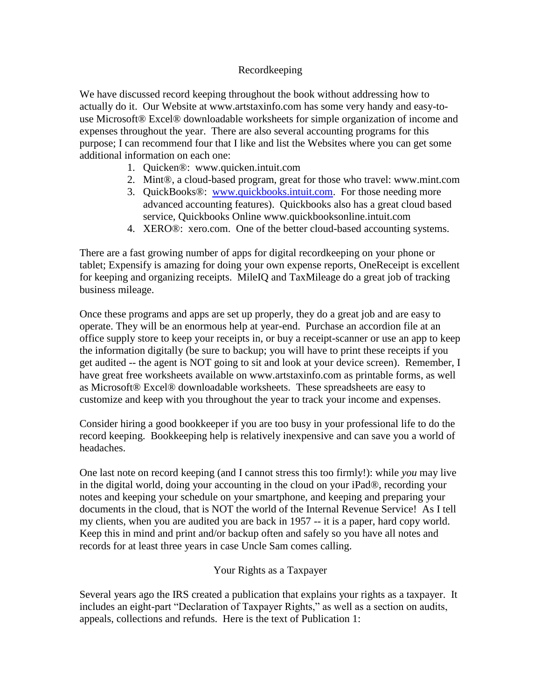# Recordkeeping

We have discussed record keeping throughout the book without addressing how to actually do it. Our Website at www.artstaxinfo.com has some very handy and easy-touse Microsoft® Excel® downloadable worksheets for simple organization of income and expenses throughout the year. There are also several accounting programs for this purpose; I can recommend four that I like and list the Websites where you can get some additional information on each one:

- 1. Quicken®: www.quicken.intuit.com
- 2. Mint®, a cloud-based program, great for those who travel: www.mint.com
- 3. QuickBooks®: [www.quickbooks.intuit.com.](http://www.quickbooks.intuit.com/) For those needing more advanced accounting features). Quickbooks also has a great cloud based service, Quickbooks Online www.quickbooksonline.intuit.com
- 4. XERO®: xero.com. One of the better cloud-based accounting systems.

There are a fast growing number of apps for digital recordkeeping on your phone or tablet; Expensify is amazing for doing your own expense reports, OneReceipt is excellent for keeping and organizing receipts. MileIQ and TaxMileage do a great job of tracking business mileage.

Once these programs and apps are set up properly, they do a great job and are easy to operate. They will be an enormous help at year-end. Purchase an accordion file at an office supply store to keep your receipts in, or buy a receipt-scanner or use an app to keep the information digitally (be sure to backup; you will have to print these receipts if you get audited -- the agent is NOT going to sit and look at your device screen). Remember, I have great free worksheets available on www.artstaxinfo.com as printable forms, as well as Microsoft® Excel® downloadable worksheets. These spreadsheets are easy to customize and keep with you throughout the year to track your income and expenses.

Consider hiring a good bookkeeper if you are too busy in your professional life to do the record keeping. Bookkeeping help is relatively inexpensive and can save you a world of headaches.

One last note on record keeping (and I cannot stress this too firmly!): while *you* may live in the digital world, doing your accounting in the cloud on your iPad®, recording your notes and keeping your schedule on your smartphone, and keeping and preparing your documents in the cloud, that is NOT the world of the Internal Revenue Service! As I tell my clients, when you are audited you are back in 1957 -- it is a paper, hard copy world. Keep this in mind and print and/or backup often and safely so you have all notes and records for at least three years in case Uncle Sam comes calling.

# Your Rights as a Taxpayer

Several years ago the IRS created a publication that explains your rights as a taxpayer. It includes an eight-part "Declaration of Taxpayer Rights," as well as a section on audits, appeals, collections and refunds. Here is the text of Publication 1: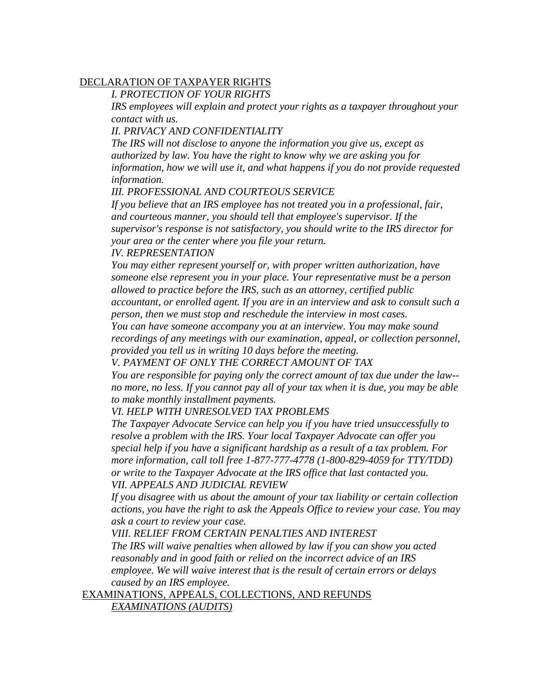# DECLARATION OF TAXPAYER RIGHTS

*I. PROTECTION OF YOUR RIGHTS* 

*IRS employees will explain and protect your rights as a taxpayer throughout your contact with us.* 

# *II. PRIVACY AND CONFIDENTIALITY*

*The IRS will not disclose to anyone the information you give us, except as authorized by law. You have the right to know why we are asking you for information, how we will use it, and what happens if you do not provide requested information.* 

# *III. PROFESSIONAL AND COURTEOUS SERVICE*

*If you believe that an IRS employee has not treated you in a professional, fair, and courteous manner, you should tell that employee's supervisor. If the supervisor's response is not satisfactory, you should write to the IRS director for your area or the center where you file your return.* 

# *IV. REPRESENTATION*

*You may either represent yourself or, with proper written authorization, have someone else represent you in your place. Your representative must be a person allowed to practice before the IRS, such as an attorney, certified public accountant, or enrolled agent. If you are in an interview and ask to consult such a person, then we must stop and reschedule the interview in most cases.* 

*You can have someone accompany you at an interview. You may make sound recordings of any meetings with our examination, appeal, or collection personnel, provided you tell us in writing 10 days before the meeting.* 

### *V. PAYMENT OF ONLY THE CORRECT AMOUNT OF TAX*

*You are responsible for paying only the correct amount of tax due under the law- no more, no less. If you cannot pay all of your tax when it is due, you may be able to make monthly installment payments.* 

# *VI. HELP WITH UNRESOLVED TAX PROBLEMS*

*The Taxpayer Advocate Service can help you if you have tried unsuccessfully to resolve a problem with the IRS. Your local Taxpayer Advocate can offer you special help if you have a significant hardship as a result of a tax problem. For more information, call toll free 1-877-777-4778 (1-800-829-4059 for TTY/TDD) or write to the Taxpayer Advocate at the IRS office that last contacted you. VII. APPEALS AND JUDICIAL REVIEW* 

*If you disagree with us about the amount of your tax liability or certain collection actions, you have the right to ask the Appeals Office to review your case. You may ask a court to review your case.* 

# *VIII. RELIEF FROM CERTAIN PENALTIES AND INTEREST*

*The IRS will waive penalties when allowed by law if you can show you acted reasonably and in good faith or relied on the incorrect advice of an IRS employee*. *We will waive interest that is the result of certain errors or delays caused by an IRS employee.* 

# EXAMINATIONS, APPEALS, COLLECTIONS, AND REFUNDS

*EXAMINATIONS (AUDITS)*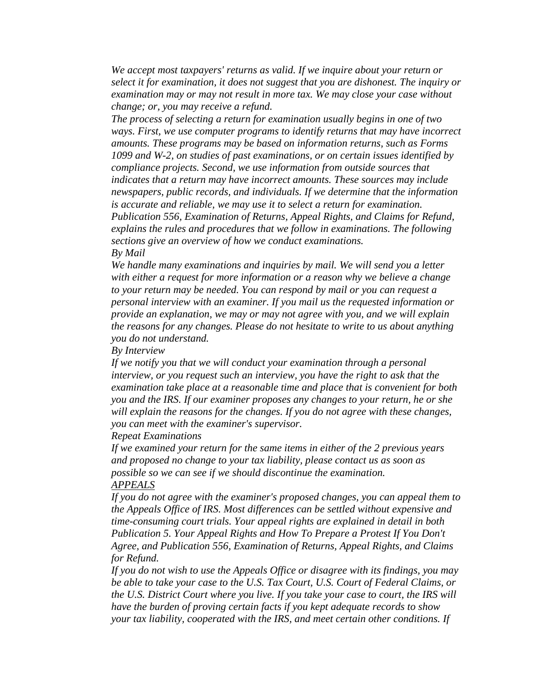*We accept most taxpayers' returns as valid. If we inquire about your return or select it for examination, it does not suggest that you are dishonest. The inquiry or examination may or may not result in more tax. We may close your case without change; or, you may receive a refund.* 

*The process of selecting a return for examination usually begins in one of two ways. First, we use computer programs to identify returns that may have incorrect amounts. These programs may be based on information returns, such as Forms 1099 and W-2, on studies of past examinations, or on certain issues identified by compliance projects. Second, we use information from outside sources that indicates that a return may have incorrect amounts. These sources may include newspapers, public records, and individuals. If we determine that the information is accurate and reliable, we may use it to select a return for examination. Publication 556, Examination of Returns, Appeal Rights, and Claims for Refund, explains the rules and procedures that we follow in examinations. The following sections give an overview of how we conduct examinations. By Mail* 

*We handle many examinations and inquiries by mail. We will send you a letter with either a request for more information or a reason why we believe a change to your return may be needed. You can respond by mail or you can request a personal interview with an examiner. If you mail us the requested information or provide an explanation, we may or may not agree with you, and we will explain the reasons for any changes. Please do not hesitate to write to us about anything you do not understand.* 

#### *By Interview*

*If we notify you that we will conduct your examination through a personal interview, or you request such an interview, you have the right to ask that the examination take place at a reasonable time and place that is convenient for both you and the IRS. If our examiner proposes any changes to your return, he or she will explain the reasons for the changes. If you do not agree with these changes, you can meet with the examiner's supervisor.* 

#### *Repeat Examinations*

*If we examined your return for the same items in either of the 2 previous years and proposed no change to your tax liability, please contact us as soon as possible so we can see if we should discontinue the examination. APPEALS*

*If you do not agree with the examiner's proposed changes, you can appeal them to the Appeals Office of IRS. Most differences can be settled without expensive and time-consuming court trials. Your appeal rights are explained in detail in both Publication 5. Your Appeal Rights and How To Prepare a Protest If You Don't Agree, and Publication 556, Examination of Returns, Appeal Rights, and Claims for Refund.* 

*If you do not wish to use the Appeals Office or disagree with its findings, you may be able to take your case to the U.S. Tax Court, U.S. Court of Federal Claims, or the U.S. District Court where you live. If you take your case to court, the IRS will have the burden of proving certain facts if you kept adequate records to show your tax liability, cooperated with the IRS, and meet certain other conditions. If*